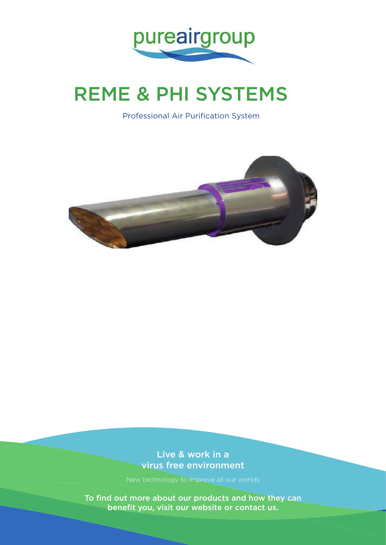

# REME & PHI SYSTEMS

Professional Air Purification System



Live & work in a virus free environment

New technology to improve all our worlds

To find out more about our products and how they can benefit you, visit our website or contact us.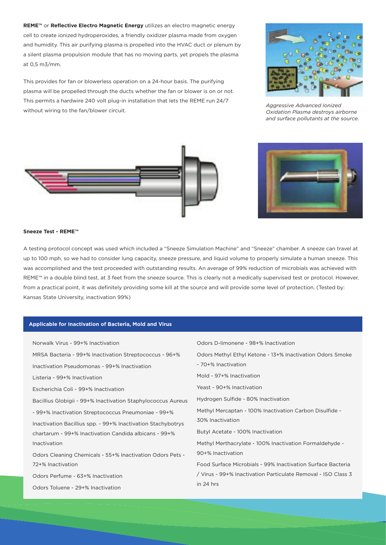**REME™** or **Reflective Electro Magnetic Energy** utilizes an electro magnetic energy cell to create ionized hydroperoxides, a friendly oxidizer plasma made from oxygen and humidity. This air purifying plasma is propelled into the HVAC duct or plenum by a silent plasma propulsion module that has no moving parts, yet propels the plasma at 0,5 m3/mm.

This provides for fan or blowerless operation on a 24-hour basis. The purifying plasma will be propelled through the ducts whether the fan or blower is on or not. This permits a hardwire 240 volt plug-in installation that lets the REME run 24/7 without wiring to the fan/blower circuit.





*Aggressive Advanced Ionized Oxidation Plasma destroys airborne and surface pollutants at the source.*



#### **Sneeze Test - REME™**

A testing protocol concept was used which included a "Sneeze Simulation Machine" and "Sneeze" chamber. A sneeze can travel at up to 100 mph, so we had to consider lung capacity, sneeze pressure, and liquid volume to properly simulate a human sneeze. This was accomplished and the test proceeded with outstanding results. An average of 99% reduction of microbials was achieved with REME™ in a double blind test, at 3 feet from the sneeze source. This is clearly not a medically supervised test or protocol. However, from a practical point, it was definitely providing some kill at the source and will provide some level of protection. (Tested by: Kansas State University, inactivation 99%)

#### **Applicable for Inactivation of Bacteria, Mold and Virus**

| Norwalk Virus - 99+% Inactivation                            | Odors D-limonene - 98+% Inactivation                          |
|--------------------------------------------------------------|---------------------------------------------------------------|
| MRSA Bacteria - 99+% Inactivation Streptococcus - 96+%       | Odors Methyl Ethyl Ketone - 13+% Inactivation Odors Smoke     |
| Inactivation Pseudomonas - 99+% Inactivation                 | - 70+% Inactivation                                           |
| Listeria - 99+% Inactivation                                 | Mold - 97+% Inactivation                                      |
| Escherichia Coli - 99+% Inactivation                         | Yeast - 90+% Inactivation                                     |
| Bacillius Globigii - 99+% Inactivation Staphylococcus Aureus | Hydrogen Sulfide - 80% Inactivation                           |
| - 99+% Inactivation Streptococcus Pneumoniae - 99+%          | Methyl Mercaptan - 100% Inactivation Carbon Disulfide -       |
| Inactivation Bacillius spp. - 99+% Inactivation Stachybotrys | 30% Inactivation                                              |
| chartarum - 99+% Inactivation Candida albicans - 99+%        | Butyl Acetate - 100% Inactivation                             |
| Inactivation                                                 | Methyl Merthacrylate - 100% Inactivation Formaldehyde -       |
| Odors Cleaning Chemicals - 55+% Inactivation Odors Pets -    | 90+% Inactivation                                             |
| 72+% Inactivation                                            | Food Surface Microbials - 99% Inactivation Surface Bacteria   |
| Odors Perfume - 63+% Inactivation                            | / Virus - 99+% Inactivation Particulate Removal - ISO Class 3 |
| Odors Toluene - 29+% Inactivation                            | in 24 hrs                                                     |